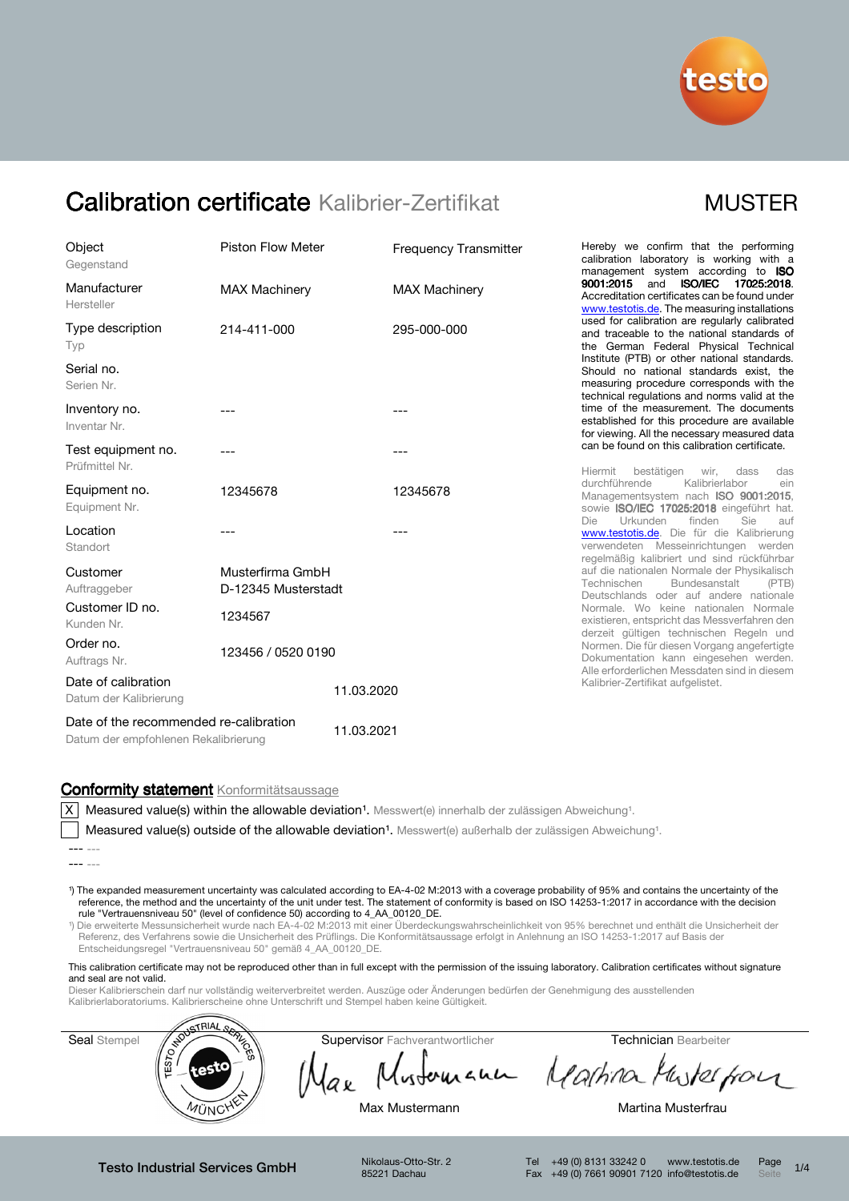

| Object                                                                         | <b>Piston Flow Meter</b>                |            | <b>Frequency Transmitter</b> |  |
|--------------------------------------------------------------------------------|-----------------------------------------|------------|------------------------------|--|
| Gegenstand                                                                     |                                         |            |                              |  |
| Manufacturer<br>Hersteller                                                     | <b>MAX Machinery</b>                    |            | <b>MAX Machinery</b>         |  |
| Type description<br>Typ                                                        | 214-411-000                             |            | 295-000-000                  |  |
| Serial no.<br>Serien Nr.                                                       |                                         |            |                              |  |
| Inventory no.<br>Inventar Nr.                                                  | ---                                     |            | ---                          |  |
| Test equipment no.<br>Prüfmittel Nr.                                           | ---                                     |            | ---                          |  |
| Equipment no.<br>Equipment Nr.                                                 | 12345678                                |            | 12345678                     |  |
| Location<br>Standort                                                           |                                         |            |                              |  |
| Customer<br>Auftraggeber                                                       | Musterfirma GmbH<br>D-12345 Musterstadt |            |                              |  |
| Customer ID no.<br>Kunden Nr.                                                  | 1234567                                 |            |                              |  |
| Order no.<br>Auftrags Nr.                                                      | 123456 / 0520 0190                      |            |                              |  |
| Date of calibration<br>Datum der Kalibrierung                                  |                                         | 11.03.2020 |                              |  |
| Date of the recommended re-calibration<br>Datum der empfohlenen Rekalibrierung |                                         | 11.03.2021 |                              |  |

Hereby we confirm that the performing calibration laboratory is working with a management system according to ISO 9001:2015 and ISO/IEC 17025:2018. Accreditation certificates can be found under www.testotis.de. The measuring installations used for calibration are regularly calibrated and traceable to the national standards of the German Federal Physical Technical Institute (PTB) or other national standards. Should no national standards exist, the measuring procedure corresponds with the technical regulations and norms valid at the time of the measurement. The documents established for this procedure are available for viewing. All the necessary measured data can be found on this calibration certificate.

Hiermit bestätigen wir, dass das<br>durchführende Kalibrierlabor ein Kalibrierlabor ein Managementsystem nach ISO 9001:2015. sowie ISO/IEC 17025:2018 eingeführt hat.<br>Die Urkunden finden Sie auf Die Urkunden finden Sie auf www.testotis.de</u>. Die für die Kalibrierung verwendeten Messeinrichtungen werden regelmäßig kalibriert und sind rückführbar auf die nationalen Normale der Physikalisch<br>Technischen Bundesanstalt (PTB) Bundesanstalt Deutschlands oder auf andere nationale Normale. Wo keine nationalen Normale existieren, entspricht das Messverfahren den derzeit gültigen technischen Regeln und Normen. Die für diesen Vorgang angefertigte Dokumentation kann eingesehen werden. Alle erforderlichen Messdaten sind in diesem Kalibrier-Zertifikat aufgelistet.

### Conformity statement Konformitätsaussage

X Measured value(s) within the allowable deviation<sup>1</sup>. Messwert(e) innerhalb der zulässigen Abweichung<sup>1</sup>.

Measured value(s) outside of the allowable deviation<sup>1</sup>. Messwert(e) außerhalb der zulässigen Abweichung<sup>1</sup>.

- 1) The expanded measurement uncertainty was calculated according to EA-4-02 M:2013 with a coverage probability of 95% and contains the uncertainty of the reference, the method and the uncertainty of the unit under test. The statement of conformity is based on ISO 14253-1:2017 in accordance with the decision rule "Vertrauensniveau 50" (level of confidence 50) according to 4\_AA\_00120\_DE.
- ¹) Die erweiterte Messunsicherheit wurde nach EA-4-02 M:2013 mit einer Überdeckungswahrscheinlichkeit von 95% berechnet und enthält die Unsicherheit der Referenz, des Verfahrens sowie die Unsicherheit des Prüflings. Die Konformitätsaussage erfolgt in Anlehnung an ISO 14253-1:2017 auf Basis der Entscheidungsregel "Vertrauensniveau 50" gemäß 4\_AA\_00120\_DE.

This calibration certificate may not be reproduced other than in full except with the permission of the issuing laboratory. Calibration certificates without signature and seal are not valid.

Dieser Kalibrierschein darf nur vollständig weiterverbreitet werden. Auszüge oder Änderungen bedürfen der Genehmigung des ausstellenden Kalibrierlaboratoriums. Kalibrierscheine ohne Unterschrift und Stempel haben keine Gültigkeit.



Testo Industrial Services GmbH Nikolaus-Otto-Str. 2

85221 Dachau

<sup>---</sup> --- --- ---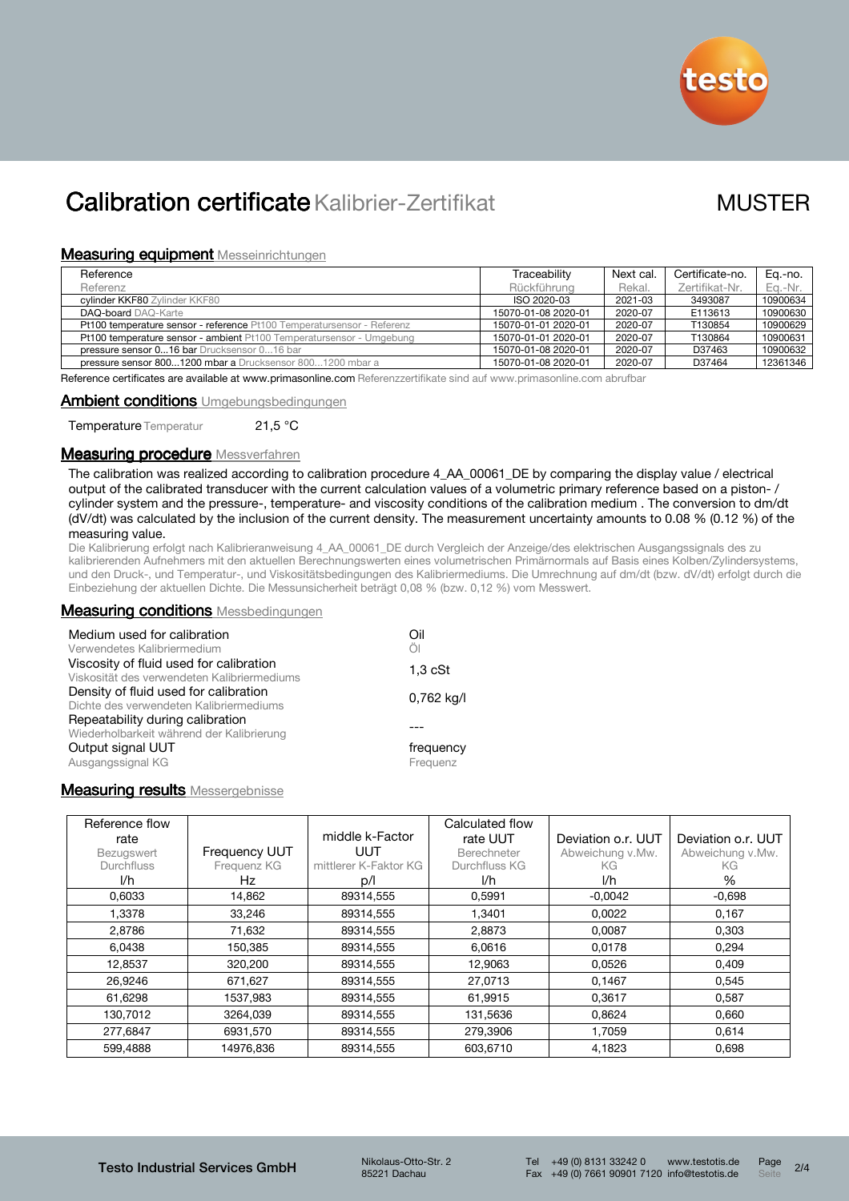

### **Measuring equipment Messeinrichtungen**

| Reference                                                              | Traceability        | Next cal. | Certificate-no. | Ea.-no.  |
|------------------------------------------------------------------------|---------------------|-----------|-----------------|----------|
| Referenz                                                               | Rückführung         | Rekal.    | Zertifikat-Nr.  | Eq.-Nr.  |
| cylinder KKF80 Zylinder KKF80                                          | ISO 2020-03         | 2021-03   | 3493087         | 10900634 |
| <b>DAQ-board</b> DAQ-Karte                                             | 15070-01-08 2020-01 | 2020-07   | E113613         | 10900630 |
| Pt100 temperature sensor - reference Pt100 Temperatursensor - Referenz | 15070-01-01 2020-01 | 2020-07   | T130854         | 10900629 |
| Pt100 temperature sensor - ambient Pt100 Temperatursensor - Umgebung   | 15070-01-01 2020-01 | 2020-07   | T130864         | 10900631 |
| pressure sensor 016 bar Drucksensor 016 bar                            | 15070-01-08 2020-01 | 2020-07   | D37463          | 10900632 |
| pressure sensor 8001200 mbar a Drucksensor 8001200 mbar a              | 15070-01-08 2020-01 | 2020-07   | D37464          | 12361346 |

Reference certificates are available at www.primasonline.com Referenzzertifikate sind auf www.primasonline.com abrufbar

### Ambient conditions Umgebungsbedingungen

Temperature Temperatur 21,5 °C

### **Measuring procedure** Messverfahren

The calibration was realized according to calibration procedure 4\_AA\_00061\_DE by comparing the display value / electrical output of the calibrated transducer with the current calculation values of a volumetric primary reference based on a piston- / cylinder system and the pressure-, temperature- and viscosity conditions of the calibration medium . The conversion to dm/dt (dV/dt) was calculated by the inclusion of the current density. The measurement uncertainty amounts to 0.08 % (0.12 %) of the measuring value.

Die Kalibrierung erfolgt nach Kalibrieranweisung 4\_AA\_00061\_DE durch Vergleich der Anzeige/des elektrischen Ausgangssignals des zu kalibrierenden Aufnehmers mit den aktuellen Berechnungswerten eines volumetrischen Primärnormals auf Basis eines Kolben/Zylindersystems, und den Druck-, und Temperatur-, und Viskositätsbedingungen des Kalibriermediums. Die Umrechnung auf dm/dt (bzw. dV/dt) erfolgt durch die Einbeziehung der aktuellen Dichte. Die Messunsicherheit beträgt 0,08 % (bzw. 0,12 %) vom Messwert.

### **Measuring conditions** Messbedingungen

| Medium used for calibration<br>Verwendetes Kalibriermedium                             | Oil<br>Öl             |
|----------------------------------------------------------------------------------------|-----------------------|
| Viscosity of fluid used for calibration<br>Viskosität des verwendeten Kalibriermediums | $1,3$ cSt             |
| Density of fluid used for calibration<br>Dichte des verwendeten Kalibriermediums       | 0,762 kg/l            |
| Repeatability during calibration<br>Wiederholbarkeit während der Kalibrierung          |                       |
| Output signal UUT<br>Ausgangssignal KG                                                 | frequency<br>Frequenz |

## **Measuring results Messergebnisse**

| Reference flow<br>rate |                      | middle k-Factor       | Calculated flow<br>rate UUT | Deviation o.r. UUT | Deviation o.r. UUT |
|------------------------|----------------------|-----------------------|-----------------------------|--------------------|--------------------|
| Bezugswert             | <b>Frequency UUT</b> | UUT                   | Berechneter                 | Abweichung v.Mw.   | Abweichung v.Mw.   |
| <b>Durchfluss</b>      | Frequenz KG          | mittlerer K-Faktor KG | Durchfluss KG               | KG                 | KG.                |
| I/h                    | Hz                   | D/I                   | I/h                         | I/h                | %                  |
| 0,6033                 | 14,862               | 89314,555             | 0,5991                      | $-0.0042$          | $-0.698$           |
| 1,3378                 | 33,246               | 89314,555             | 1,3401                      | 0,0022             | 0,167              |
| 2,8786                 | 71,632               | 89314,555             | 2,8873                      | 0,0087             | 0,303              |
| 6,0438                 | 150,385              | 89314,555             | 6.0616                      | 0,0178             | 0,294              |
| 12,8537                | 320,200              | 89314,555             | 12,9063                     | 0,0526             | 0.409              |
| 26,9246                | 671,627              | 89314,555             | 27,0713                     | 0,1467             | 0,545              |
| 61,6298                | 1537.983             | 89314.555             | 61,9915                     | 0.3617             | 0.587              |
| 130.7012               | 3264.039             | 89314.555             | 131,5636                    | 0,8624             | 0.660              |
| 277,6847               | 6931,570             | 89314,555             | 279,3906                    | 1,7059             | 0.614              |
| 599,4888               | 14976,836            | 89314.555             | 603.6710                    | 4,1823             | 0,698              |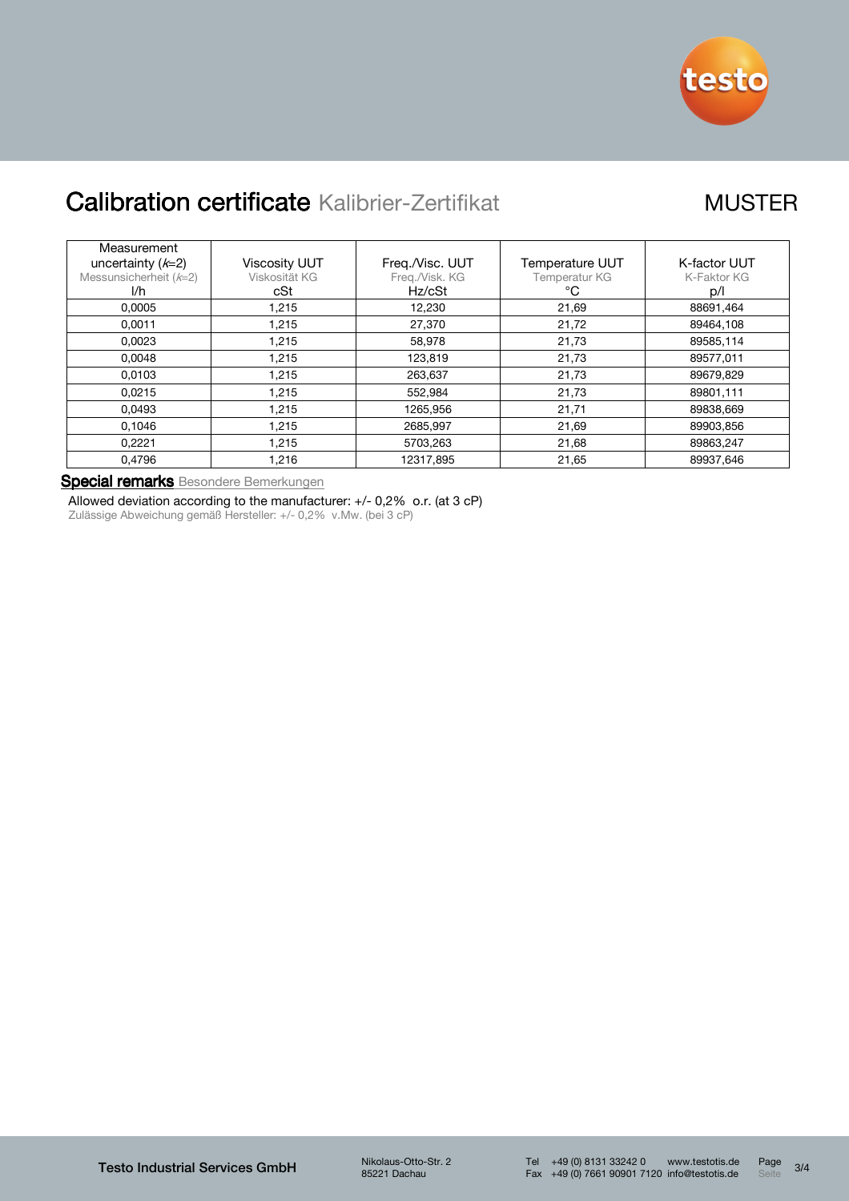

| Measurement<br>uncertainty $(k=2)$<br>Messunsicherheit $(k=2)$ | <b>Viscosity UUT</b><br>Viskosität KG | Freg./Visc. UUT<br>Freq./Visk. KG | <b>Temperature UUT</b><br>Temperatur KG | K-factor UUT<br>K-Faktor KG |
|----------------------------------------------------------------|---------------------------------------|-----------------------------------|-----------------------------------------|-----------------------------|
| I/h                                                            | cSt                                   | Hz/cSt                            | °C                                      | p/l                         |
| 0.0005                                                         | 1.215                                 | 12,230                            | 21,69                                   | 88691,464                   |
| 0.0011                                                         | 1.215                                 | 27,370                            | 21,72                                   | 89464.108                   |
| 0.0023                                                         | 1,215                                 | 58.978                            | 21,73                                   | 89585.114                   |
| 0.0048                                                         | 1,215                                 | 123,819                           | 21,73                                   | 89577,011                   |
| 0.0103                                                         | 1.215                                 | 263,637                           | 21,73                                   | 89679,829                   |
| 0.0215                                                         | 1,215                                 | 552.984                           | 21,73                                   | 89801,111                   |
| 0.0493                                                         | 1,215                                 | 1265.956                          | 21,71                                   | 89838.669                   |
| 0.1046                                                         | 1.215                                 | 2685,997                          | 21,69                                   | 89903.856                   |
| 0.2221                                                         | 1,215                                 | 5703,263                          | 21,68                                   | 89863,247                   |
| 0.4796                                                         | 1,216                                 | 12317,895                         | 21,65                                   | 89937.646                   |

Special remarks Besondere Bemerkungen

Allowed deviation according to the manufacturer: +/- 0,2% o.r. (at 3 cP) Zulässige Abweichung gemäß Hersteller: +/- 0,2% v.Mw. (bei 3 cP)